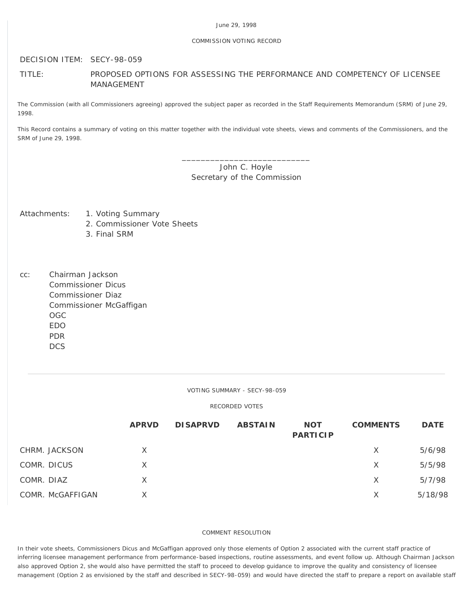### June 29, 1998

### COMMISSION VOTING RECORD

# DECISION ITEM: SECY-98-059

# TITLE: PROPOSED OPTIONS FOR ASSESSING THE PERFORMANCE AND COMPETENCY OF LICENSEE MANAGEMENT

The Commission (with all Commissioners agreeing) approved the subject paper as recorded in the Staff Requirements Memorandum (SRM) of June 29, 1998.

This Record contains a summary of voting on this matter together with the individual vote sheets, views and comments of the Commissioners, and the SRM of June 29, 1998.

> \_\_\_\_\_\_\_\_\_\_\_\_\_\_\_\_\_\_\_\_\_\_\_\_\_\_\_ John C. Hoyle Secretary of the Commission

# Attachments: 1. Voting Summary

- 2. Commissioner Vote Sheets
- 3. Final SRM
- cc: Chairman Jackson Commissioner Dicus Commissioner Diaz Commissioner McGaffigan OGC EDO PDR **DCS**

#### VOTING SUMMARY - SECY-98-059

#### RECORDED VOTES

|                  | <b>APRVD</b> | <b>DISAPRVD</b> | <b>ABSTAIN</b> | <b>NOT</b><br><b>PARTICIP</b> | <b>COMMENTS</b> | <b>DATE</b> |
|------------------|--------------|-----------------|----------------|-------------------------------|-----------------|-------------|
| CHRM. JACKSON    | X            |                 |                |                               | X               | 5/6/98      |
| COMR. DICUS      | X.           |                 |                |                               | X               | 5/5/98      |
| COMR. DIAZ       | X            |                 |                |                               | X               | 5/7/98      |
| COMR. McGAFFIGAN |              |                 |                |                               | X               | 5/18/98     |

## COMMENT RESOLUTION

In their vote sheets, Commissioners Dicus and McGaffigan approved only those elements of Option 2 associated with the current staff practice of inferring licensee management performance from performance-based inspections, routine assessments, and event follow up. Although Chairman Jackson also approved Option 2, she would also have permitted the staff to proceed to develop guidance to improve the quality and consistency of licensee management (Option 2 as envisioned by the staff and described in SECY-98-059) and would have directed the staff to prepare a report on available staff